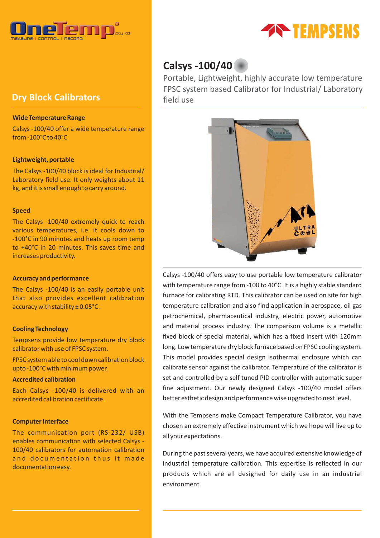

# **Dry Block Calibrators**

## **Wide Temperature Range**

Calsys -100/40 offer a wide temperature range from -100°C to 40°C

## **Lightweight, portable**

The Calsys -100/40 block is ideal for Industrial/ Laboratory field use. It only weights about 11 kg, and it is small enough to carry around.

## **Speed**

The Calsys -100/40 extremely quick to reach various temperatures, i.e. it cools down to -100°C in 90 minutes and heats up room temp to +40°C in 20 minutes. This saves time and increases productivity.

## **Accuracy and performance**

The Calsys -100/40 is an easily portable unit that also provides excellent calibration accuracy with stability ± 0.05°C .

## **Cooling Technology**

Tempsens provide low temperature dry block calibrator with use of FPSC system.

FPSC system able to cool down calibration block upto -100°C with minimum power.

## **Accredited calibration**

Each Calsys -100/40 is delivered with an accredited calibration certificate.

## **Computer Interface**

The communication port (RS-232/ USB) enables communication with selected Calsys - 100/40 calibrators for automation calibration and documentation thus it made documentation easy.



# **Calsys -100/40**

Portable, Lightweight, highly accurate low temperature FPSC system based Calibrator for Industrial/ Laboratory field use



Calsys -100/40 offers easy to use portable low temperature calibrator with temperature range from -100 to 40°C. It is a highly stable standard furnace for calibrating RTD. This calibrator can be used on site for high temperature calibration and also find application in aerospace, oil gas petrochemical, pharmaceutical industry, electric power, automotive and material process industry. The comparison volume is a metallic fixed block of special material, which has a fixed insert with 120mm long. Low temperature dry block furnace based on FPSC cooling system. This model provides special design isothermal enclosure which can calibrate sensor against the calibrator. Temperature of the calibrator is set and controlled by a self tuned PID controller with automatic super fine adjustment. Our newly designed Calsys -100/40 model offers better esthetic design and performance wise upgraded to next level.

With the Tempsens make Compact Temperature Calibrator, you have chosen an extremely effective instrument which we hope will live up to all your expectations.

During the past several years, we have acquired extensive knowledge of industrial temperature calibration. This expertise is reflected in our products which are all designed for daily use in an industrial environment.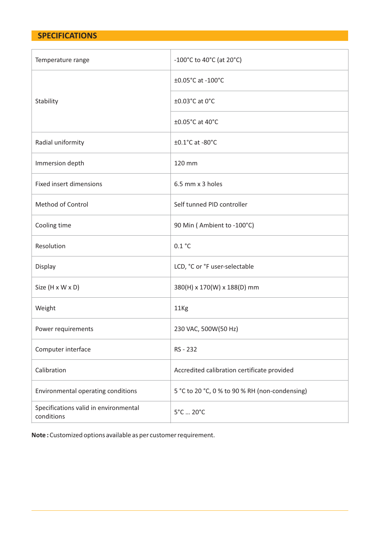# **SPECIFICATIONS**

| Temperature range                                   | $-100^{\circ}$ C to 40 $^{\circ}$ C (at 20 $^{\circ}$ C) |  |
|-----------------------------------------------------|----------------------------------------------------------|--|
|                                                     | ±0.05°C at -100°C                                        |  |
| Stability                                           | ±0.03°C at 0°C                                           |  |
|                                                     | ±0.05°C at 40°C                                          |  |
| Radial uniformity                                   | $\pm 0.1^{\circ}$ C at -80 $^{\circ}$ C                  |  |
| Immersion depth                                     | 120 mm                                                   |  |
| <b>Fixed insert dimensions</b>                      | 6.5 mm x 3 holes                                         |  |
| <b>Method of Control</b>                            | Self tunned PID controller                               |  |
| Cooling time                                        | 90 Min (Ambient to -100°C)                               |  |
| Resolution                                          | 0.1 °C                                                   |  |
| Display                                             | LCD, °C or °F user-selectable                            |  |
| Size (H x W x D)                                    | 380(H) x 170(W) x 188(D) mm                              |  |
| Weight                                              | 11Kg                                                     |  |
| Power requirements                                  | 230 VAC, 500W(50 Hz)                                     |  |
| Computer interface                                  | RS - 232                                                 |  |
| Calibration                                         | Accredited calibration certificate provided              |  |
| Environmental operating conditions                  | 5 °C to 20 °C, 0 % to 90 % RH (non-condensing)           |  |
| Specifications valid in environmental<br>conditions | 5°C  20°C                                                |  |

**Note :** Customized options available as per customer requirement.